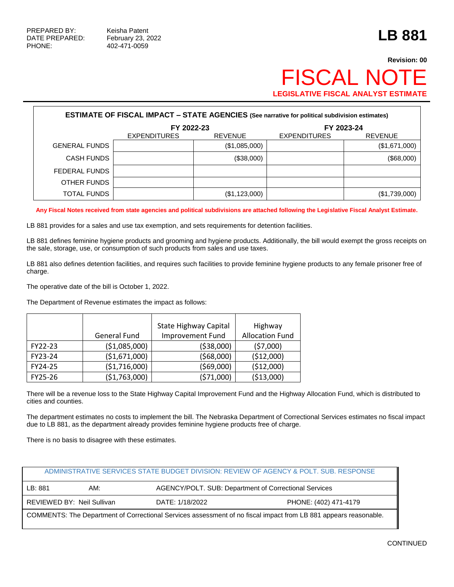## **Revision: 00 FISCAL NO LEGISLATIVE FISCAL ANALYST ESTIMATE**

| <b>ESTIMATE OF FISCAL IMPACT - STATE AGENCIES (See narrative for political subdivision estimates)</b> |                     |                |                     |                |  |  |
|-------------------------------------------------------------------------------------------------------|---------------------|----------------|---------------------|----------------|--|--|
|                                                                                                       | FY 2022-23          |                |                     | FY 2023-24     |  |  |
|                                                                                                       | <b>EXPENDITURES</b> | <b>REVENUE</b> | <b>EXPENDITURES</b> | <b>REVENUE</b> |  |  |
| <b>GENERAL FUNDS</b>                                                                                  |                     | (\$1,085,000)  |                     | (\$1,671,000)  |  |  |
| <b>CASH FUNDS</b>                                                                                     |                     | (\$38,000)     |                     | (\$68,000)     |  |  |
| FEDERAL FUNDS                                                                                         |                     |                |                     |                |  |  |
| OTHER FUNDS                                                                                           |                     |                |                     |                |  |  |
| TOTAL FUNDS                                                                                           |                     | (\$1,123,000)  |                     | (\$1,739,000)  |  |  |

**Any Fiscal Notes received from state agencies and political subdivisions are attached following the Legislative Fiscal Analyst Estimate.**

LB 881 provides for a sales and use tax exemption, and sets requirements for detention facilities.

LB 881 defines feminine hygiene products and grooming and hygiene products. Additionally, the bill would exempt the gross receipts on the sale, storage, use, or consumption of such products from sales and use taxes.

LB 881 also defines detention facilities, and requires such facilities to provide feminine hygiene products to any female prisoner free of charge.

The operative date of the bill is October 1, 2022.

The Department of Revenue estimates the impact as follows:

|         | General Fund   | <b>State Highway Capital</b><br><b>Improvement Fund</b> | Highway<br><b>Allocation Fund</b> |
|---------|----------------|---------------------------------------------------------|-----------------------------------|
| FY22-23 | ( \$1,085,000) | ( \$38,000)                                             | (57,000)                          |
| FY23-24 | ( \$1,671,000) | (568,000)                                               | (\$12,000)                        |
| FY24-25 | ( \$1,716,000) | (569,000)                                               | (\$12,000)                        |
| FY25-26 | ( \$1,763,000) | (571,000)                                               | ( \$13,000)                       |

There will be a revenue loss to the State Highway Capital Improvement Fund and the Highway Allocation Fund, which is distributed to cities and counties.

The department estimates no costs to implement the bill. The Nebraska Department of Correctional Services estimates no fiscal impact due to LB 881, as the department already provides feminine hygiene products free of charge.

There is no basis to disagree with these estimates.

|                                                                                                                  |                            |                                                       | ADMINISTRATIVE SERVICES STATE BUDGET DIVISION: REVIEW OF AGENCY & POLT. SUB. RESPONSE |  |  |
|------------------------------------------------------------------------------------------------------------------|----------------------------|-------------------------------------------------------|---------------------------------------------------------------------------------------|--|--|
| LB:881                                                                                                           | AM:                        | AGENCY/POLT. SUB: Department of Correctional Services |                                                                                       |  |  |
|                                                                                                                  | REVIEWED BY: Neil Sullivan | DATE: 1/18/2022                                       | PHONE: (402) 471-4179                                                                 |  |  |
| COMMENTS: The Department of Correctional Services assessment of no fiscal impact from LB 881 appears reasonable. |                            |                                                       |                                                                                       |  |  |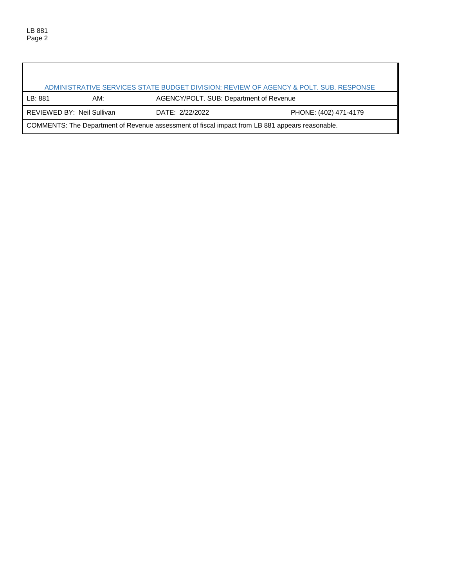$\lceil$ 

| LB: 881                                                                                         | ADMINISTRATIVE SERVICES STATE BUDGET DIVISION: REVIEW OF AGENCY & POLT. SUB. RESPONSE |                                         |                       |  |  |  |
|-------------------------------------------------------------------------------------------------|---------------------------------------------------------------------------------------|-----------------------------------------|-----------------------|--|--|--|
|                                                                                                 | AM:                                                                                   | AGENCY/POLT. SUB: Department of Revenue |                       |  |  |  |
|                                                                                                 | REVIEWED BY: Neil Sullivan                                                            | DATE: 2/22/2022                         | PHONE: (402) 471-4179 |  |  |  |
| COMMENTS: The Department of Revenue assessment of fiscal impact from LB 881 appears reasonable. |                                                                                       |                                         |                       |  |  |  |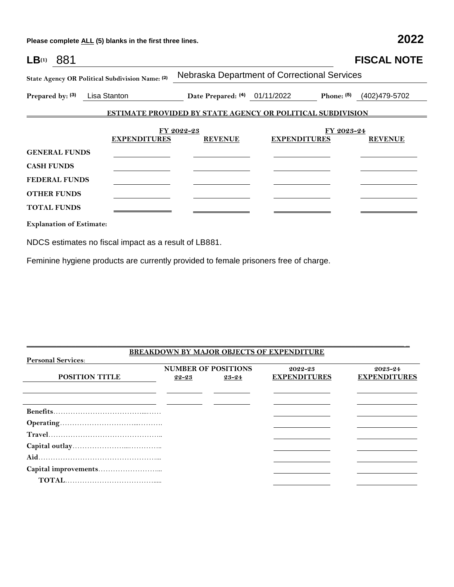**Please complete ALL (5) blanks in the first three lines. 2022**

| $LB^{(1)}$ 881                  |                                                 |                                                                   |                     |            | <b>FISCAL NOTE</b> |
|---------------------------------|-------------------------------------------------|-------------------------------------------------------------------|---------------------|------------|--------------------|
|                                 | State Agency OR Political Subdivision Name: (2) | Nebraska Department of Correctional Services                      |                     |            |                    |
| Prepared by: (3) Lisa Stanton   |                                                 | Date Prepared: (4) 01/11/2022 Phone: (5) (402)479-5702            |                     |            |                    |
|                                 |                                                 | <b>ESTIMATE PROVIDED BY STATE AGENCY OR POLITICAL SUBDIVISION</b> |                     |            |                    |
|                                 | <b>EXPENDITURES</b>                             | FY 2022-23<br><b>REVENUE</b>                                      | <b>EXPENDITURES</b> | FY 2023-24 | <b>REVENUE</b>     |
| <b>GENERAL FUNDS</b>            |                                                 |                                                                   |                     |            |                    |
| <b>CASH FUNDS</b>               |                                                 |                                                                   |                     |            |                    |
| <b>FEDERAL FUNDS</b>            |                                                 |                                                                   |                     |            |                    |
| <b>OTHER FUNDS</b>              |                                                 |                                                                   |                     |            |                    |
| <b>TOTAL FUNDS</b>              |                                                 |                                                                   |                     |            |                    |
| <b>Explanation of Estimate:</b> |                                                 |                                                                   |                     |            |                    |

NDCS estimates no fiscal impact as a result of LB881.

Feminine hygiene products are currently provided to female prisoners free of charge.

|                           |       |                            | <b>BREAKDOWN BY MAJOR OBJECTS OF EXPENDITURE</b> |                     |
|---------------------------|-------|----------------------------|--------------------------------------------------|---------------------|
| <b>Personal Services:</b> |       |                            |                                                  |                     |
|                           |       | <b>NUMBER OF POSITIONS</b> | 2022-23                                          | 2023-24             |
| <b>POSITION TITLE</b>     | 22-23 | 23-24                      | <b>EXPENDITURES</b>                              | <b>EXPENDITURES</b> |
|                           |       |                            |                                                  |                     |
|                           |       |                            |                                                  |                     |
|                           |       |                            |                                                  |                     |
|                           |       |                            |                                                  |                     |
|                           |       |                            |                                                  |                     |
|                           |       |                            |                                                  |                     |
|                           |       |                            |                                                  |                     |
|                           |       |                            |                                                  |                     |
|                           |       |                            |                                                  |                     |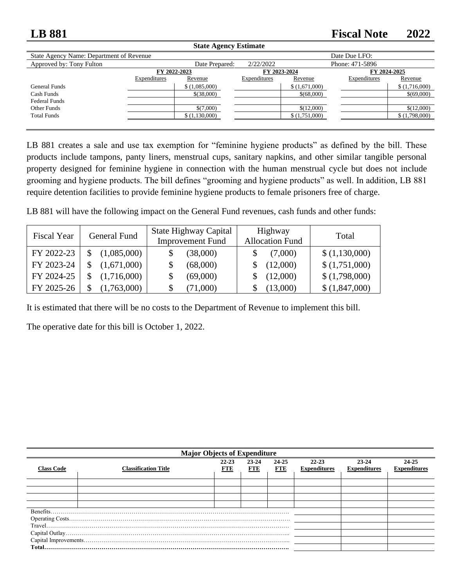## **LB 881 Fiscal Note 2022**

| <b>State Agency Estimate</b>                              |              |                |              |               |                 |               |
|-----------------------------------------------------------|--------------|----------------|--------------|---------------|-----------------|---------------|
| Date Due LFO:<br>State Agency Name: Department of Revenue |              |                |              |               |                 |               |
| Approved by: Tony Fulton                                  |              | Date Prepared: | 2/22/2022    |               | Phone: 471-5896 |               |
| FY 2023-2024<br>FY 2024-2025<br>FY 2022-2023              |              |                |              |               |                 |               |
|                                                           | Expenditures | Revenue        | Expenditures | Revenue       | Expenditures    | Revenue       |
| General Funds                                             |              | \$(1,085,000)  |              | \$(1,671,000) |                 | \$(1,716,000) |
| Cash Funds                                                |              | \$(38,000)     |              | \$(68,000)    |                 | \$(69,000)    |
| <b>Federal Funds</b>                                      |              |                |              |               |                 |               |
| Other Funds                                               |              | \$(7,000)      |              | \$(12,000)    |                 | \$(12,000)    |
| <b>Total Funds</b>                                        |              | \$(1,130,000)  |              | \$(1,751,000) |                 | \$(1,798,000) |
|                                                           |              |                |              |               |                 |               |

LB 881 creates a sale and use tax exemption for "feminine hygiene products" as defined by the bill. These products include tampons, panty liners, menstrual cups, sanitary napkins, and other similar tangible personal property designed for feminine hygiene in connection with the human menstrual cycle but does not include grooming and hygiene products. The bill defines "grooming and hygiene products" as well. In addition, LB 881 require detention facilities to provide feminine hygiene products to female prisoners free of charge.

LB 881 will have the following impact on the General Fund revenues, cash funds and other funds:

| <b>Fiscal Year</b> | General Fund | State Highway Capital<br><b>Improvement Fund</b> | Highway<br><b>Allocation Fund</b> | Total         |
|--------------------|--------------|--------------------------------------------------|-----------------------------------|---------------|
| FY 2022-23         | (1,085,000)  | (38,000)                                         | (7,000)                           | \$(1,130,000) |
| FY 2023-24         | (1,671,000)  | (68,000)                                         | (12,000)                          | \$(1,751,000) |
| FY 2024-25         | (1,716,000)  | (69,000)                                         | (12,000)                          | \$(1,798,000) |
| FY 2025-26         | (1,763,000)  | (71,000)<br>S                                    | (13,000)                          | \$(1,847,000) |

It is estimated that there will be no costs to the Department of Revenue to implement this bill.

The operative date for this bill is October 1, 2022.

| <b>Major Objects of Expenditure</b> |                                                                                                                                                                                                                                                                                                                                                                                       |                         |                     |                     |                                  |                                  |                              |
|-------------------------------------|---------------------------------------------------------------------------------------------------------------------------------------------------------------------------------------------------------------------------------------------------------------------------------------------------------------------------------------------------------------------------------------|-------------------------|---------------------|---------------------|----------------------------------|----------------------------------|------------------------------|
| <b>Class Code</b>                   | <b>Classification Title</b>                                                                                                                                                                                                                                                                                                                                                           | $22 - 23$<br><b>FTE</b> | 23-24<br><b>FTE</b> | 24-25<br><b>FTE</b> | $22 - 23$<br><b>Expenditures</b> | $23 - 24$<br><b>Expenditures</b> | 24-25<br><b>Expenditures</b> |
|                                     |                                                                                                                                                                                                                                                                                                                                                                                       |                         |                     |                     |                                  |                                  |                              |
|                                     |                                                                                                                                                                                                                                                                                                                                                                                       |                         |                     |                     |                                  |                                  |                              |
|                                     |                                                                                                                                                                                                                                                                                                                                                                                       |                         |                     |                     |                                  |                                  |                              |
|                                     |                                                                                                                                                                                                                                                                                                                                                                                       |                         |                     |                     |                                  |                                  |                              |
|                                     |                                                                                                                                                                                                                                                                                                                                                                                       |                         |                     |                     |                                  |                                  |                              |
|                                     |                                                                                                                                                                                                                                                                                                                                                                                       |                         |                     |                     |                                  |                                  |                              |
|                                     |                                                                                                                                                                                                                                                                                                                                                                                       |                         |                     |                     |                                  |                                  |                              |
|                                     |                                                                                                                                                                                                                                                                                                                                                                                       |                         |                     |                     |                                  |                                  |                              |
|                                     |                                                                                                                                                                                                                                                                                                                                                                                       |                         |                     |                     |                                  |                                  |                              |
|                                     | ${\bf Total.}.\hspace{15pt} .\hspace{15pt} .\hspace{15pt} .\hspace{15pt} .\hspace{15pt} .\hspace{15pt} .\hspace{15pt} .\hspace{15pt} .\hspace{15pt} .\hspace{15pt} .\hspace{15pt} .\hspace{15pt} .\hspace{15pt} .\hspace{15pt} .\hspace{15pt} .\hspace{15pt} .\hspace{15pt} .\hspace{15pt} .\hspace{15pt} .\hspace{15pt} .\hspace{15pt} .\hspace{15pt} .\hspace{15pt} .\hspace{15pt}$ |                         |                     |                     |                                  |                                  |                              |